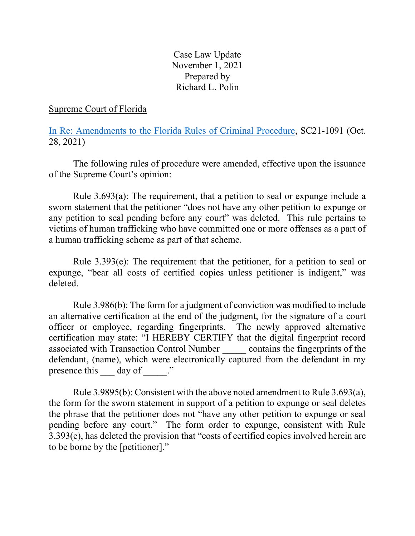Case Law Update November 1, 2021 Prepared by Richard L. Polin

# Supreme Court of Florida

[In Re: Amendments to the Florida Rules of Criminal Procedure,](https://www.floridasupremecourt.org/content/download/798878/opinion/sc21-1091.pdf) SC21-1091 (Oct. 28, 2021)

The following rules of procedure were amended, effective upon the issuance of the Supreme Court's opinion:

Rule 3.693(a): The requirement, that a petition to seal or expunge include a sworn statement that the petitioner "does not have any other petition to expunge or any petition to seal pending before any court" was deleted. This rule pertains to victims of human trafficking who have committed one or more offenses as a part of a human trafficking scheme as part of that scheme.

Rule 3.393(e): The requirement that the petitioner, for a petition to seal or expunge, "bear all costs of certified copies unless petitioner is indigent," was deleted.

Rule 3.986(b): The form for a judgment of conviction was modified to include an alternative certification at the end of the judgment, for the signature of a court officer or employee, regarding fingerprints. The newly approved alternative certification may state: "I HEREBY CERTIFY that the digital fingerprint record associated with Transaction Control Number \_\_\_\_\_ contains the fingerprints of the defendant, (name), which were electronically captured from the defendant in my presence this day of  $\cdots$ 

Rule 3.9895(b): Consistent with the above noted amendment to Rule 3.693(a), the form for the sworn statement in support of a petition to expunge or seal deletes the phrase that the petitioner does not "have any other petition to expunge or seal pending before any court." The form order to expunge, consistent with Rule 3.393(e), has deleted the provision that "costs of certified copies involved herein are to be borne by the [petitioner]."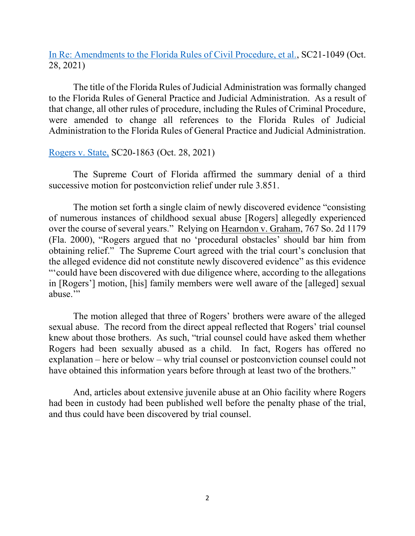[In Re: Amendments to the Florida Rules of Civil Procedure, et al.,](https://www.floridasupremecourt.org/content/download/798877/opinion/sc21-1049.pdf) SC21-1049 (Oct. 28, 2021)

The title of the Florida Rules of Judicial Administration was formally changed to the Florida Rules of General Practice and Judicial Administration. As a result of that change, all other rules of procedure, including the Rules of Criminal Procedure, were amended to change all references to the Florida Rules of Judicial Administration to the Florida Rules of General Practice and Judicial Administration.

[Rogers v. State,](https://www.floridasupremecourt.org/content/download/798876/opinion/sc20-1863.pdf) SC20-1863 (Oct. 28, 2021)

The Supreme Court of Florida affirmed the summary denial of a third successive motion for postconviction relief under rule 3.851.

The motion set forth a single claim of newly discovered evidence "consisting of numerous instances of childhood sexual abuse [Rogers] allegedly experienced over the course of several years." Relying on Hearndon v. Graham, 767 So. 2d 1179 (Fla. 2000), "Rogers argued that no 'procedural obstacles' should bar him from obtaining relief." The Supreme Court agreed with the trial court's conclusion that the alleged evidence did not constitute newly discovered evidence" as this evidence "'could have been discovered with due diligence where, according to the allegations in [Rogers'] motion, [his] family members were well aware of the [alleged] sexual abuse."

The motion alleged that three of Rogers' brothers were aware of the alleged sexual abuse. The record from the direct appeal reflected that Rogers' trial counsel knew about those brothers. As such, "trial counsel could have asked them whether Rogers had been sexually abused as a child. In fact, Rogers has offered no explanation – here or below – why trial counsel or postconviction counsel could not have obtained this information years before through at least two of the brothers."

And, articles about extensive juvenile abuse at an Ohio facility where Rogers had been in custody had been published well before the penalty phase of the trial, and thus could have been discovered by trial counsel.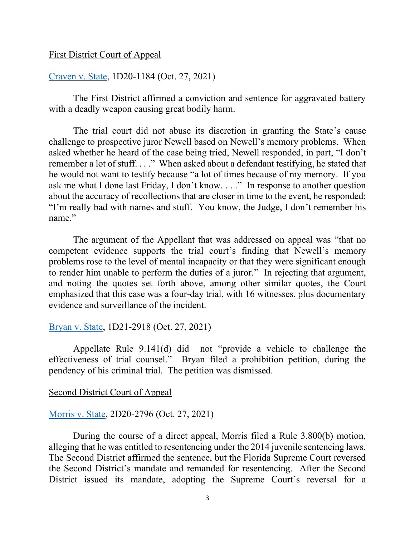## First District Court of Appeal

# [Craven v. State,](https://www.1dca.org/content/download/798106/opinion/201184_DC05_10272021_111202_i.pdf) 1D20-1184 (Oct. 27, 2021)

The First District affirmed a conviction and sentence for aggravated battery with a deadly weapon causing great bodily harm.

The trial court did not abuse its discretion in granting the State's cause challenge to prospective juror Newell based on Newell's memory problems. When asked whether he heard of the case being tried, Newell responded, in part, "I don't remember a lot of stuff. . . ." When asked about a defendant testifying, he stated that he would not want to testify because "a lot of times because of my memory. If you ask me what I done last Friday, I don't know. . . ." In response to another question about the accuracy of recollections that are closer in time to the event, he responded: "I'm really bad with names and stuff. You know, the Judge, I don't remember his name."

The argument of the Appellant that was addressed on appeal was "that no competent evidence supports the trial court's finding that Newell's memory problems rose to the level of mental incapacity or that they were significant enough to render him unable to perform the duties of a juror." In rejecting that argument, and noting the quotes set forth above, among other similar quotes, the Court emphasized that this case was a four-day trial, with 16 witnesses, plus documentary evidence and surveillance of the incident.

### [Bryan v. State,](https://www.1dca.org/content/download/798116/opinion/212918_DA08_10272021_114120_i.pdf) 1D21-2918 (Oct. 27, 2021)

Appellate Rule 9.141(d) did not "provide a vehicle to challenge the effectiveness of trial counsel." Bryan filed a prohibition petition, during the pendency of his criminal trial. The petition was dismissed.

#### Second District Court of Appeal

# [Morris v. State,](https://www.2dca.org/content/download/816338/opinion/202796_DC13_10272021_082823_i.pdf) 2D20-2796 (Oct. 27, 2021)

During the course of a direct appeal, Morris filed a Rule 3.800(b) motion, alleging that he was entitled to resentencing under the 2014 juvenile sentencing laws. The Second District affirmed the sentence, but the Florida Supreme Court reversed the Second District's mandate and remanded for resentencing. After the Second District issued its mandate, adopting the Supreme Court's reversal for a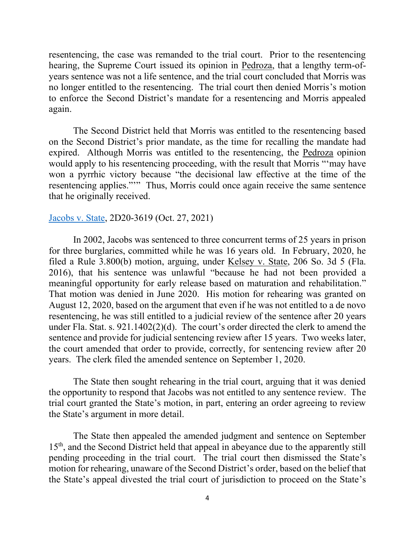resentencing, the case was remanded to the trial court. Prior to the resentencing hearing, the Supreme Court issued its opinion in Pedroza, that a lengthy term-ofyears sentence was not a life sentence, and the trial court concluded that Morris was no longer entitled to the resentencing. The trial court then denied Morris's motion to enforce the Second District's mandate for a resentencing and Morris appealed again.

The Second District held that Morris was entitled to the resentencing based on the Second District's prior mandate, as the time for recalling the mandate had expired. Although Morris was entitled to the resentencing, the Pedroza opinion would apply to his resentencing proceeding, with the result that Morris "'may have won a pyrrhic victory because "the decisional law effective at the time of the resentencing applies.""" Thus, Morris could once again receive the same sentence that he originally received.

#### [Jacobs v. State,](https://www.2dca.org/content/download/816362/opinion/203619_DC13_10272021_083214_i.pdf) 2D20-3619 (Oct. 27, 2021)

In 2002, Jacobs was sentenced to three concurrent terms of 25 years in prison for three burglaries, committed while he was 16 years old. In February, 2020, he filed a Rule 3.800(b) motion, arguing, under Kelsey v. State, 206 So. 3d 5 (Fla. 2016), that his sentence was unlawful "because he had not been provided a meaningful opportunity for early release based on maturation and rehabilitation." That motion was denied in June 2020. His motion for rehearing was granted on August 12, 2020, based on the argument that even if he was not entitled to a de novo resentencing, he was still entitled to a judicial review of the sentence after 20 years under Fla. Stat. s. 921.1402(2)(d). The court's order directed the clerk to amend the sentence and provide for judicial sentencing review after 15 years. Two weeks later, the court amended that order to provide, correctly, for sentencing review after 20 years. The clerk filed the amended sentence on September 1, 2020.

The State then sought rehearing in the trial court, arguing that it was denied the opportunity to respond that Jacobs was not entitled to any sentence review. The trial court granted the State's motion, in part, entering an order agreeing to review the State's argument in more detail.

The State then appealed the amended judgment and sentence on September 15<sup>th</sup>, and the Second District held that appeal in abeyance due to the apparently still pending proceeding in the trial court. The trial court then dismissed the State's motion for rehearing, unaware of the Second District's order, based on the belief that the State's appeal divested the trial court of jurisdiction to proceed on the State's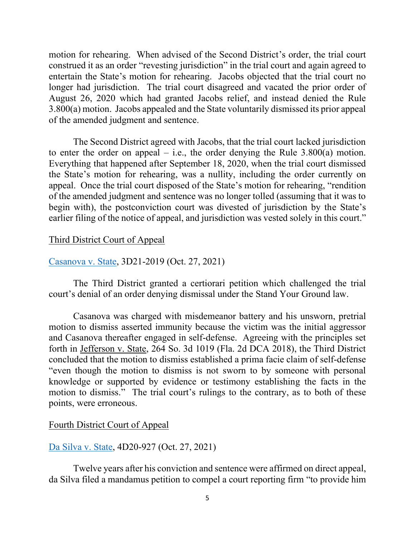motion for rehearing. When advised of the Second District's order, the trial court construed it as an order "revesting jurisdiction" in the trial court and again agreed to entertain the State's motion for rehearing. Jacobs objected that the trial court no longer had jurisdiction. The trial court disagreed and vacated the prior order of August 26, 2020 which had granted Jacobs relief, and instead denied the Rule 3.800(a) motion. Jacobs appealed and the State voluntarily dismissed its prior appeal of the amended judgment and sentence.

The Second District agreed with Jacobs, that the trial court lacked jurisdiction to enter the order on appeal – i.e., the order denying the Rule  $3.800(a)$  motion. Everything that happened after September 18, 2020, when the trial court dismissed the State's motion for rehearing, was a nullity, including the order currently on appeal. Once the trial court disposed of the State's motion for rehearing, "rendition of the amended judgment and sentence was no longer tolled (assuming that it was to begin with), the postconviction court was divested of jurisdiction by the State's earlier filing of the notice of appeal, and jurisdiction was vested solely in this court."

# Third District Court of Appeal

# [Casanova v. State,](https://www.3dca.flcourts.org/content/download/798065/opinion/212019_DC03_10272021_103309_i.pdf) 3D21-2019 (Oct. 27, 2021)

The Third District granted a certiorari petition which challenged the trial court's denial of an order denying dismissal under the Stand Your Ground law.

Casanova was charged with misdemeanor battery and his unsworn, pretrial motion to dismiss asserted immunity because the victim was the initial aggressor and Casanova thereafter engaged in self-defense. Agreeing with the principles set forth in Jefferson v. State, 264 So. 3d 1019 (Fla. 2d DCA 2018), the Third District concluded that the motion to dismiss established a prima facie claim of self-defense "even though the motion to dismiss is not sworn to by someone with personal knowledge or supported by evidence or testimony establishing the facts in the motion to dismiss." The trial court's rulings to the contrary, as to both of these points, were erroneous.

# Fourth District Court of Appeal

# [Da Silva v. State,](https://www.4dca.org/content/download/798082/opinion/200927_DC05_10272021_094927_i.pdf) 4D20-927 (Oct. 27, 2021)

Twelve years after his conviction and sentence were affirmed on direct appeal, da Silva filed a mandamus petition to compel a court reporting firm "to provide him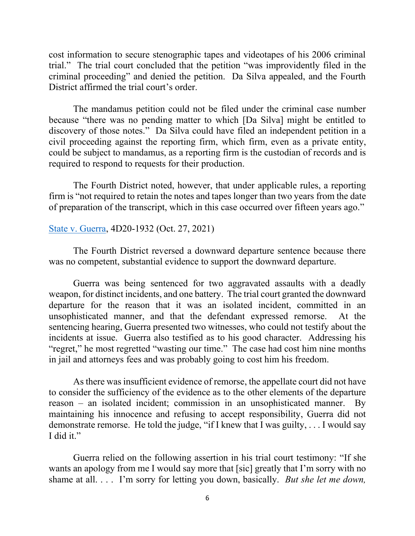cost information to secure stenographic tapes and videotapes of his 2006 criminal trial." The trial court concluded that the petition "was improvidently filed in the criminal proceeding" and denied the petition. Da Silva appealed, and the Fourth District affirmed the trial court's order.

The mandamus petition could not be filed under the criminal case number because "there was no pending matter to which [Da Silva] might be entitled to discovery of those notes." Da Silva could have filed an independent petition in a civil proceeding against the reporting firm, which firm, even as a private entity, could be subject to mandamus, as a reporting firm is the custodian of records and is required to respond to requests for their production.

The Fourth District noted, however, that under applicable rules, a reporting firm is "not required to retain the notes and tapes longer than two years from the date of preparation of the transcript, which in this case occurred over fifteen years ago."

### [State v. Guerra,](https://www.4dca.org/content/download/798085/opinion/201932_DC13_10272021_095448_i.pdf) 4D20-1932 (Oct. 27, 2021)

The Fourth District reversed a downward departure sentence because there was no competent, substantial evidence to support the downward departure.

Guerra was being sentenced for two aggravated assaults with a deadly weapon, for distinct incidents, and one battery. The trial court granted the downward departure for the reason that it was an isolated incident, committed in an unsophisticated manner, and that the defendant expressed remorse. At the sentencing hearing, Guerra presented two witnesses, who could not testify about the incidents at issue. Guerra also testified as to his good character. Addressing his "regret," he most regretted "wasting our time." The case had cost him nine months in jail and attorneys fees and was probably going to cost him his freedom.

As there was insufficient evidence of remorse, the appellate court did not have to consider the sufficiency of the evidence as to the other elements of the departure reason – an isolated incident; commission in an unsophisticated manner. By maintaining his innocence and refusing to accept responsibility, Guerra did not demonstrate remorse. He told the judge, "if I knew that I was guilty, . . . I would say I did it."

Guerra relied on the following assertion in his trial court testimony: "If she wants an apology from me I would say more that [sic] greatly that I'm sorry with no shame at all. . . . I'm sorry for letting you down, basically. *But she let me down,*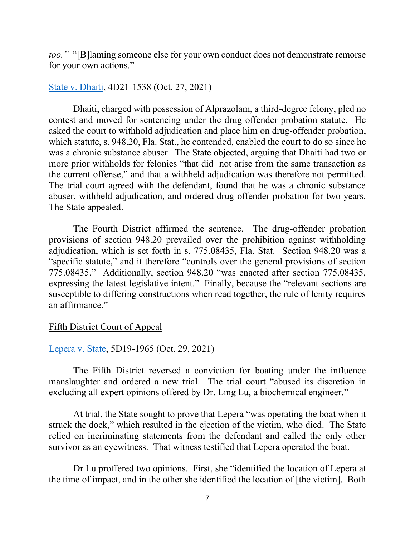*too."* "[B]laming someone else for your own conduct does not demonstrate remorse for your own actions."

# [State v. Dhaiti,](https://www.4dca.org/content/download/798091/opinion/211538_DC05_10272021_100229_i.pdf) 4D21-1538 (Oct. 27, 2021)

Dhaiti, charged with possession of Alprazolam, a third-degree felony, pled no contest and moved for sentencing under the drug offender probation statute. He asked the court to withhold adjudication and place him on drug-offender probation, which statute, s. 948.20, Fla. Stat., he contended, enabled the court to do so since he was a chronic substance abuser. The State objected, arguing that Dhaiti had two or more prior withholds for felonies "that did not arise from the same transaction as the current offense," and that a withheld adjudication was therefore not permitted. The trial court agreed with the defendant, found that he was a chronic substance abuser, withheld adjudication, and ordered drug offender probation for two years. The State appealed.

The Fourth District affirmed the sentence. The drug-offender probation provisions of section 948.20 prevailed over the prohibition against withholding adjudication, which is set forth in s. 775.08435, Fla. Stat. Section 948.20 was a "specific statute," and it therefore "controls over the general provisions of section 775.08435." Additionally, section 948.20 "was enacted after section 775.08435, expressing the latest legislative intent." Finally, because the "relevant sections are susceptible to differing constructions when read together, the rule of lenity requires an affirmance."

## Fifth District Court of Appeal

## [Lepera v. State,](https://www.5dca.org/content/download/799046/opinion/191965_DC08_10292021_150240_i.pdf) 5D19-1965 (Oct. 29, 2021)

The Fifth District reversed a conviction for boating under the influence manslaughter and ordered a new trial. The trial court "abused its discretion in excluding all expert opinions offered by Dr. Ling Lu, a biochemical engineer."

At trial, the State sought to prove that Lepera "was operating the boat when it struck the dock," which resulted in the ejection of the victim, who died. The State relied on incriminating statements from the defendant and called the only other survivor as an eyewitness. That witness testified that Lepera operated the boat.

Dr Lu proffered two opinions. First, she "identified the location of Lepera at the time of impact, and in the other she identified the location of [the victim]. Both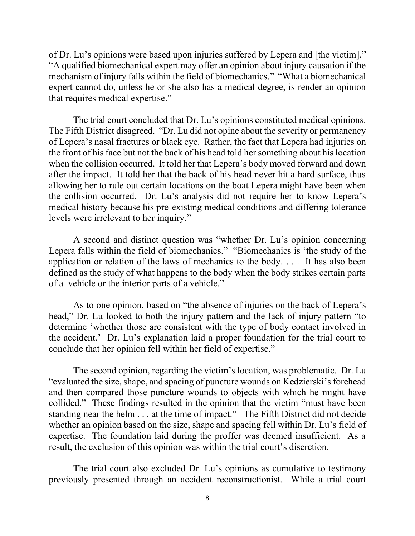of Dr. Lu's opinions were based upon injuries suffered by Lepera and [the victim]." "A qualified biomechanical expert may offer an opinion about injury causation if the mechanism of injury falls within the field of biomechanics." "What a biomechanical expert cannot do, unless he or she also has a medical degree, is render an opinion that requires medical expertise."

The trial court concluded that Dr. Lu's opinions constituted medical opinions. The Fifth District disagreed. "Dr. Lu did not opine about the severity or permanency of Lepera's nasal fractures or black eye. Rather, the fact that Lepera had injuries on the front of his face but not the back of his head told her something about his location when the collision occurred. It told her that Lepera's body moved forward and down after the impact. It told her that the back of his head never hit a hard surface, thus allowing her to rule out certain locations on the boat Lepera might have been when the collision occurred. Dr. Lu's analysis did not require her to know Lepera's medical history because his pre-existing medical conditions and differing tolerance levels were irrelevant to her inquiry."

A second and distinct question was "whether Dr. Lu's opinion concerning Lepera falls within the field of biomechanics." "Biomechanics is 'the study of the application or relation of the laws of mechanics to the body. . . . It has also been defined as the study of what happens to the body when the body strikes certain parts of a vehicle or the interior parts of a vehicle."

As to one opinion, based on "the absence of injuries on the back of Lepera's head," Dr. Lu looked to both the injury pattern and the lack of injury pattern "to determine 'whether those are consistent with the type of body contact involved in the accident.' Dr. Lu's explanation laid a proper foundation for the trial court to conclude that her opinion fell within her field of expertise."

The second opinion, regarding the victim's location, was problematic. Dr. Lu "evaluated the size, shape, and spacing of puncture wounds on Kedzierski's forehead and then compared those puncture wounds to objects with which he might have collided." These findings resulted in the opinion that the victim "must have been standing near the helm . . . at the time of impact." The Fifth District did not decide whether an opinion based on the size, shape and spacing fell within Dr. Lu's field of expertise. The foundation laid during the proffer was deemed insufficient. As a result, the exclusion of this opinion was within the trial court's discretion.

The trial court also excluded Dr. Lu's opinions as cumulative to testimony previously presented through an accident reconstructionist. While a trial court